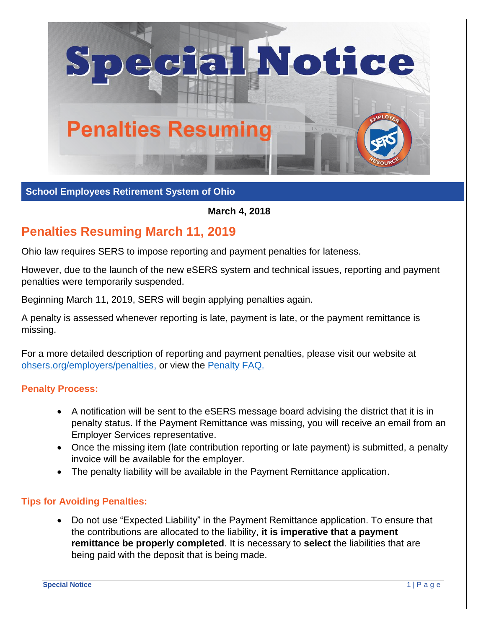

## **School Employees Retirement System of Ohio**

#### **March 4, 2018**

# **Penalties Resuming March 11, 2019**

Ohio law requires SERS to impose reporting and payment penalties for lateness.

However, due to the launch of the new eSERS system and technical issues, reporting and payment penalties were temporarily suspended.

Beginning March 11, 2019, SERS will begin applying penalties again.

A penalty is assessed whenever reporting is late, payment is late, or the payment remittance is missing.

For a more detailed description of reporting and payment penalties, please visit our website at [ohsers.org/employers/penalties,](http://www.ohsers.org/employers/penalties) or view the Penalty FAQ.

### **Penalty Process:**

- A notification will be sent to the eSERS message board advising the district that it is in penalty status. If the Payment Remittance was missing, you will receive an email from an Employer Services representative.
- Once the missing item (late contribution reporting or late payment) is submitted, a penalty invoice will be available for the employer.
- The penalty liability will be available in the Payment Remittance application.

### **Tips for Avoiding Penalties:**

• Do not use "Expected Liability" in the Payment Remittance application. To ensure that the contributions are allocated to the liability, **it is imperative that a payment remittance be properly completed**. It is necessary to **select** the liabilities that are being paid with the deposit that is being made.